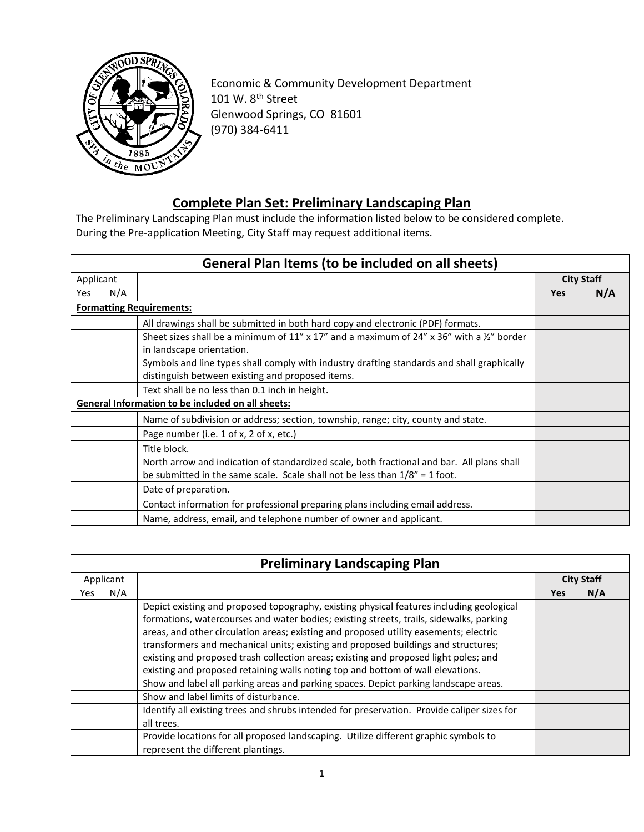

Economic & Community Development Department 101 W. 8<sup>th</sup> Street Glenwood Springs, CO 81601 (970) 384-6411

## **Complete Plan Set: Preliminary Landscaping Plan**

The Preliminary Landscaping Plan must include the information listed below to be considered complete. During the Pre-application Meeting, City Staff may request additional items.

|            |           | <b>General Plan Items (to be included on all sheets)</b>                                                                                                                     |                   |     |
|------------|-----------|------------------------------------------------------------------------------------------------------------------------------------------------------------------------------|-------------------|-----|
|            | Applicant |                                                                                                                                                                              | <b>City Staff</b> |     |
| <b>Yes</b> | N/A       |                                                                                                                                                                              | <b>Yes</b>        | N/A |
|            |           | <b>Formatting Requirements:</b>                                                                                                                                              |                   |     |
|            |           | All drawings shall be submitted in both hard copy and electronic (PDF) formats.                                                                                              |                   |     |
|            |           | Sheet sizes shall be a minimum of 11" x 17" and a maximum of 24" x 36" with a $\frac{1}{2}$ " border<br>in landscape orientation.                                            |                   |     |
|            |           | Symbols and line types shall comply with industry drafting standards and shall graphically<br>distinguish between existing and proposed items.                               |                   |     |
|            |           | Text shall be no less than 0.1 inch in height.                                                                                                                               |                   |     |
|            |           | General Information to be included on all sheets:                                                                                                                            |                   |     |
|            |           | Name of subdivision or address; section, township, range; city, county and state.                                                                                            |                   |     |
|            |           | Page number (i.e. 1 of x, 2 of x, etc.)                                                                                                                                      |                   |     |
|            |           | Title block.                                                                                                                                                                 |                   |     |
|            |           | North arrow and indication of standardized scale, both fractional and bar. All plans shall<br>be submitted in the same scale. Scale shall not be less than $1/8'' = 1$ foot. |                   |     |
|            |           | Date of preparation.                                                                                                                                                         |                   |     |
|            |           | Contact information for professional preparing plans including email address.                                                                                                |                   |     |
|            |           | Name, address, email, and telephone number of owner and applicant.                                                                                                           |                   |     |

## **Preliminary Landscaping Plan**

| Applicant |     |                                                                                                                                                                                                                                                                                                                                                                                                                                                                                                                                               | <b>City Staff</b> |     |
|-----------|-----|-----------------------------------------------------------------------------------------------------------------------------------------------------------------------------------------------------------------------------------------------------------------------------------------------------------------------------------------------------------------------------------------------------------------------------------------------------------------------------------------------------------------------------------------------|-------------------|-----|
| Yes       | N/A |                                                                                                                                                                                                                                                                                                                                                                                                                                                                                                                                               | <b>Yes</b>        | N/A |
|           |     | Depict existing and proposed topography, existing physical features including geological<br>formations, watercourses and water bodies; existing streets, trails, sidewalks, parking<br>areas, and other circulation areas; existing and proposed utility easements; electric<br>transformers and mechanical units; existing and proposed buildings and structures;<br>existing and proposed trash collection areas; existing and proposed light poles; and<br>existing and proposed retaining walls noting top and bottom of wall elevations. |                   |     |
|           |     | Show and label all parking areas and parking spaces. Depict parking landscape areas.                                                                                                                                                                                                                                                                                                                                                                                                                                                          |                   |     |
|           |     | Show and label limits of disturbance.                                                                                                                                                                                                                                                                                                                                                                                                                                                                                                         |                   |     |
|           |     | Identify all existing trees and shrubs intended for preservation. Provide caliper sizes for<br>all trees.                                                                                                                                                                                                                                                                                                                                                                                                                                     |                   |     |
|           |     | Provide locations for all proposed landscaping. Utilize different graphic symbols to<br>represent the different plantings.                                                                                                                                                                                                                                                                                                                                                                                                                    |                   |     |